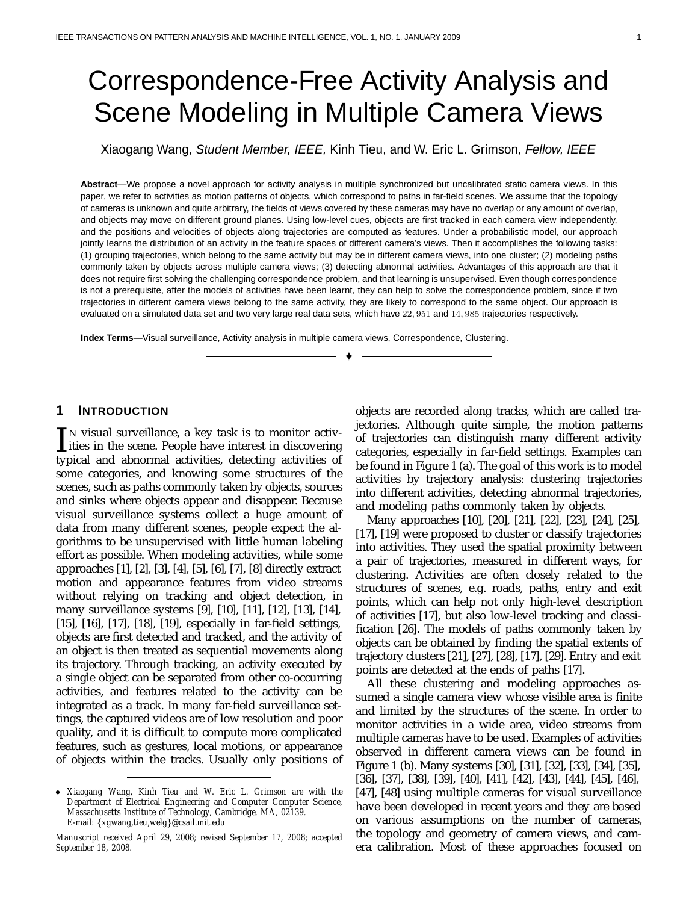# Correspondence-Free Activity Analysis and Scene Modeling in Multiple Camera Views

Xiaogang Wang, *Student Member, IEEE,* Kinh Tieu, and W. Eric L. Grimson, *Fellow, IEEE*

**Abstract**—We propose a novel approach for activity analysis in multiple synchronized but uncalibrated static camera views. In this paper, we refer to activities as motion patterns of objects, which correspond to paths in far-field scenes. We assume that the topology of cameras is unknown and quite arbitrary, the fields of views covered by these cameras may have no overlap or any amount of overlap, and objects may move on different ground planes. Using low-level cues, objects are first tracked in each camera view independently, and the positions and velocities of objects along trajectories are computed as features. Under a probabilistic model, our approach jointly learns the distribution of an activity in the feature spaces of different camera's views. Then it accomplishes the following tasks: (1) grouping trajectories, which belong to the same activity but may be in different camera views, into one cluster; (2) modeling paths commonly taken by objects across multiple camera views; (3) detecting abnormal activities. Advantages of this approach are that it does not require first solving the challenging correspondence problem, and that learning is unsupervised. Even though correspondence is not a prerequisite, after the models of activities have been learnt, they can help to solve the correspondence problem, since if two trajectories in different camera views belong to the same activity, they are likely to correspond to the same object. Our approach is evaluated on a simulated data set and two very large real data sets, which have 22*,* 951 and 14*,* 985 trajectories respectively.

✦

**Index Terms**—Visual surveillance, Activity analysis in multiple camera views, Correspondence, Clustering.

# **1 INTRODUCTION**

In visual surveillance, a key task is to monitor activities in the scene. People have interest in discovering typical and abnormal activities, detecting activities of N visual surveillance, a key task is to monitor activities in the scene. People have interest in discovering some categories, and knowing some structures of the scenes, such as paths commonly taken by objects, sources and sinks where objects appear and disappear. Because visual surveillance systems collect a huge amount of data from many different scenes, people expect the algorithms to be unsupervised with little human labeling effort as possible. When modeling activities, while some approaches [1], [2], [3], [4], [5], [6], [7], [8] directly extract motion and appearance features from video streams without relying on tracking and object detection, in many surveillance systems [9], [10], [11], [12], [13], [14], [15], [16], [17], [18], [19], especially in far-field settings, objects are first detected and tracked, and the activity of an object is then treated as sequential movements along its trajectory. Through tracking, an activity executed by a single object can be separated from other co-occurring activities, and features related to the activity can be integrated as a track. In many far-field surveillance settings, the captured videos are of low resolution and poor quality, and it is difficult to compute more complicated features, such as gestures, local motions, or appearance of objects within the tracks. Usually only positions of

objects are recorded along tracks, which are called trajectories. Although quite simple, the motion patterns of trajectories can distinguish many different activity categories, especially in far-field settings. Examples can be found in Figure 1 (a). The goal of this work is to model activities by trajectory analysis: clustering trajectories into different activities, detecting abnormal trajectories, and modeling paths commonly taken by objects.

Many approaches [10], [20], [21], [22], [23], [24], [25], [17], [19] were proposed to cluster or classify trajectories into activities. They used the spatial proximity between a pair of trajectories, measured in different ways, for clustering. Activities are often closely related to the structures of scenes, e.g. roads, paths, entry and exit points, which can help not only high-level description of activities [17], but also low-level tracking and classification [26]. The models of paths commonly taken by objects can be obtained by finding the spatial extents of trajectory clusters [21], [27], [28], [17], [29]. Entry and exit points are detected at the ends of paths [17].

All these clustering and modeling approaches assumed a single camera view whose visible area is finite and limited by the structures of the scene. In order to monitor activities in a wide area, video streams from multiple cameras have to be used. Examples of activities observed in different camera views can be found in Figure 1 (b). Many systems [30], [31], [32], [33], [34], [35], [36], [37], [38], [39], [40], [41], [42], [43], [44], [45], [46], [47], [48] using multiple cameras for visual surveillance have been developed in recent years and they are based on various assumptions on the number of cameras, the topology and geometry of camera views, and camera calibration. Most of these approaches focused on

*<sup>•</sup> Xiaogang Wang, Kinh Tieu and W. Eric L. Grimson are with the Department of Electrical Engineering and Computer Computer Science, Massachusetts Institute of Technology, Cambridge, MA, 02139. E-mail: {xgwang,tieu,welg}@csail.mit.edu*

*Manuscript received April 29, 2008; revised September 17, 2008; accepted September 18, 2008.*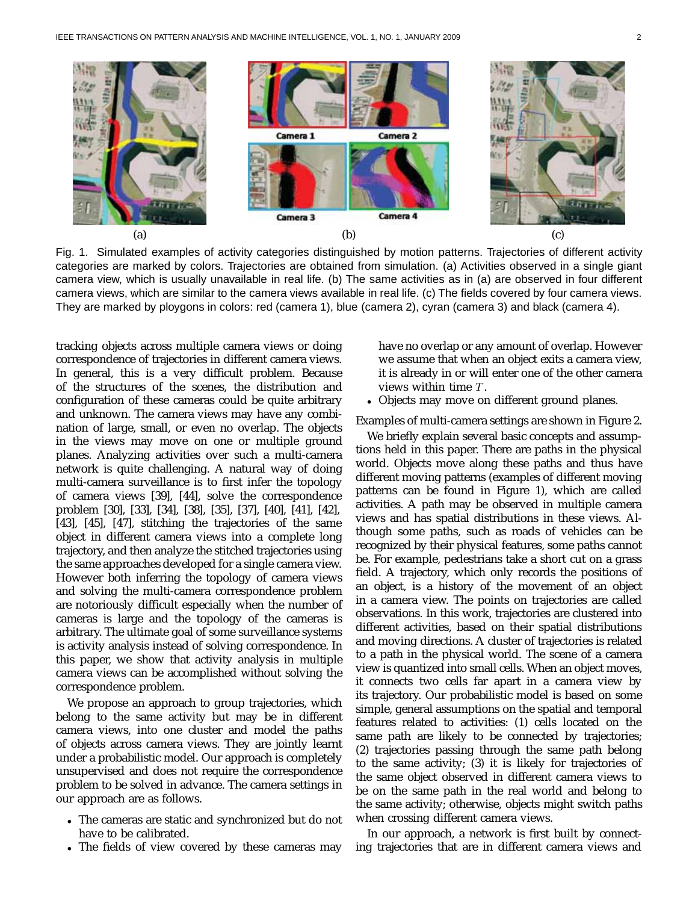

Fig. 1. Simulated examples of activity categories distinguished by motion patterns. Trajectories of different activity categories are marked by colors. Trajectories are obtained from simulation. (a) Activities observed in a single giant camera view, which is usually unavailable in real life. (b) The same activities as in (a) are observed in four different camera views, which are similar to the camera views available in real life. (c) The fields covered by four camera views. They are marked by ploygons in colors: red (camera 1), blue (camera 2), cyran (camera 3) and black (camera 4).

tracking objects across multiple camera views or doing correspondence of trajectories in different camera views. In general, this is a very difficult problem. Because of the structures of the scenes, the distribution and configuration of these cameras could be quite arbitrary and unknown. The camera views may have any combination of large, small, or even no overlap. The objects in the views may move on one or multiple ground planes. Analyzing activities over such a multi-camera network is quite challenging. A natural way of doing multi-camera surveillance is to first infer the topology of camera views [39], [44], solve the correspondence problem [30], [33], [34], [38], [35], [37], [40], [41], [42], [43], [45], [47], stitching the trajectories of the same object in different camera views into a complete long trajectory, and then analyze the stitched trajectories using the same approaches developed for a single camera view. However both inferring the topology of camera views and solving the multi-camera correspondence problem are notoriously difficult especially when the number of cameras is large and the topology of the cameras is arbitrary. The ultimate goal of some surveillance systems is activity analysis instead of solving correspondence. In this paper, we show that activity analysis in multiple camera views can be accomplished without solving the correspondence problem.

We propose an approach to group trajectories, which belong to the same activity but may be in different camera views, into one cluster and model the paths of objects across camera views. They are jointly learnt under a probabilistic model. Our approach is completely unsupervised and does not require the correspondence problem to be solved in advance. The camera settings in our approach are as follows.

- The cameras are static and synchronized but do not have to be calibrated.
- The fields of view covered by these cameras may

have no overlap or any amount of overlap. However we assume that when an object exits a camera view, it is already in or will enter one of the other camera views within time  $T$ .

• Objects may move on different ground planes.

Examples of multi-camera settings are shown in Figure 2.

We briefly explain several basic concepts and assumptions held in this paper. There are paths in the physical world. Objects move along these paths and thus have different moving patterns (examples of different moving patterns can be found in Figure 1), which are called activities. A path may be observed in multiple camera views and has spatial distributions in these views. Although some paths, such as roads of vehicles can be recognized by their physical features, some paths cannot be. For example, pedestrians take a short cut on a grass field. A trajectory, which only records the positions of an object, is a history of the movement of an object in a camera view. The points on trajectories are called observations. In this work, trajectories are clustered into different activities, based on their spatial distributions and moving directions. A cluster of trajectories is related to a path in the physical world. The scene of a camera view is quantized into small cells. When an object moves, it connects two cells far apart in a camera view by its trajectory. Our probabilistic model is based on some simple, general assumptions on the spatial and temporal features related to activities: (1) cells located on the same path are likely to be connected by trajectories; (2) trajectories passing through the same path belong to the same activity; (3) it is likely for trajectories of the same object observed in different camera views to be on the same path in the real world and belong to the same activity; otherwise, objects might switch paths when crossing different camera views.

In our approach, a network is first built by connecting trajectories that are in different camera views and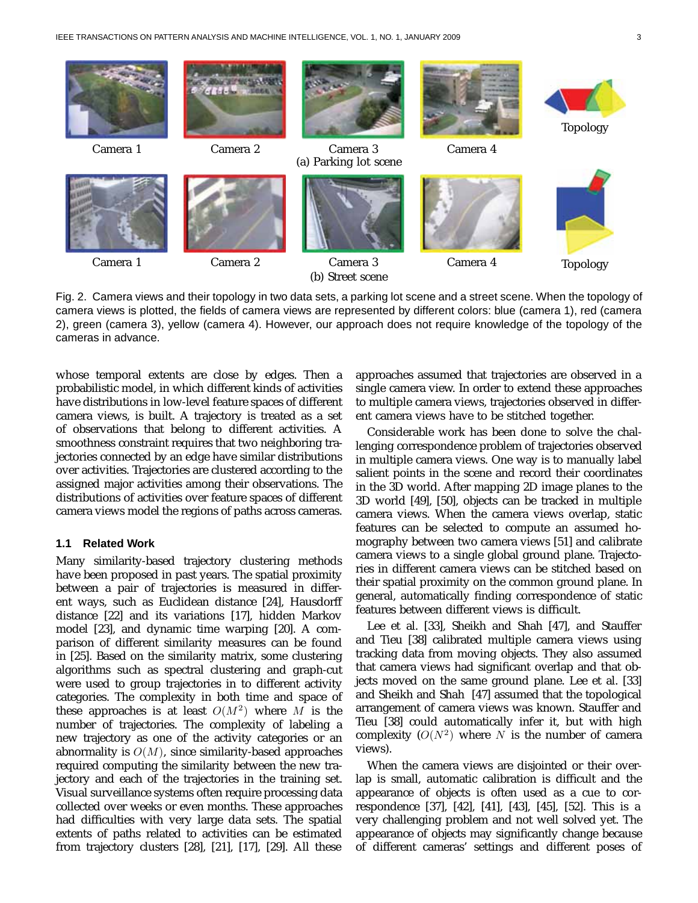

Fig. 2. Camera views and their topology in two data sets, a parking lot scene and a street scene. When the topology of camera views is plotted, the fields of camera views are represented by different colors: blue (camera 1), red (camera 2), green (camera 3), yellow (camera 4). However, our approach does not require knowledge of the topology of the cameras in advance.

whose temporal extents are close by edges. Then a probabilistic model, in which different kinds of activities have distributions in low-level feature spaces of different camera views, is built. A trajectory is treated as a set of observations that belong to different activities. A smoothness constraint requires that two neighboring trajectories connected by an edge have similar distributions over activities. Trajectories are clustered according to the assigned major activities among their observations. The distributions of activities over feature spaces of different camera views model the regions of paths across cameras.

## **1.1 Related Work**

Many similarity-based trajectory clustering methods have been proposed in past years. The spatial proximity between a pair of trajectories is measured in different ways, such as Euclidean distance [24], Hausdorff distance [22] and its variations [17], hidden Markov model [23], and dynamic time warping [20]. A comparison of different similarity measures can be found in [25]. Based on the similarity matrix, some clustering algorithms such as spectral clustering and graph-cut were used to group trajectories in to different activity categories. The complexity in both time and space of these approaches is at least  $O(M^2)$  where M is the number of trajectories. The complexity of labeling a new trajectory as one of the activity categories or an abnormality is  $O(M)$ , since similarity-based approaches required computing the similarity between the new trajectory and each of the trajectories in the training set. Visual surveillance systems often require processing data collected over weeks or even months. These approaches had difficulties with very large data sets. The spatial extents of paths related to activities can be estimated from trajectory clusters [28], [21], [17], [29]. All these

approaches assumed that trajectories are observed in a single camera view. In order to extend these approaches to multiple camera views, trajectories observed in different camera views have to be stitched together.

Considerable work has been done to solve the challenging correspondence problem of trajectories observed in multiple camera views. One way is to manually label salient points in the scene and record their coordinates in the 3D world. After mapping 2D image planes to the 3D world [49], [50], objects can be tracked in multiple camera views. When the camera views overlap, static features can be selected to compute an assumed homography between two camera views [51] and calibrate camera views to a single global ground plane. Trajectories in different camera views can be stitched based on their spatial proximity on the common ground plane. In general, automatically finding correspondence of static features between different views is difficult.

Lee et al. [33], Sheikh and Shah [47], and Stauffer and Tieu [38] calibrated multiple camera views using tracking data from moving objects. They also assumed that camera views had significant overlap and that objects moved on the same ground plane. Lee et al. [33] and Sheikh and Shah [47] assumed that the topological arrangement of camera views was known. Stauffer and Tieu [38] could automatically infer it, but with high complexity  $(O(N^2)$  where N is the number of camera views).

When the camera views are disjointed or their overlap is small, automatic calibration is difficult and the appearance of objects is often used as a cue to correspondence [37], [42], [41], [43], [45], [52]. This is a very challenging problem and not well solved yet. The appearance of objects may significantly change because of different cameras' settings and different poses of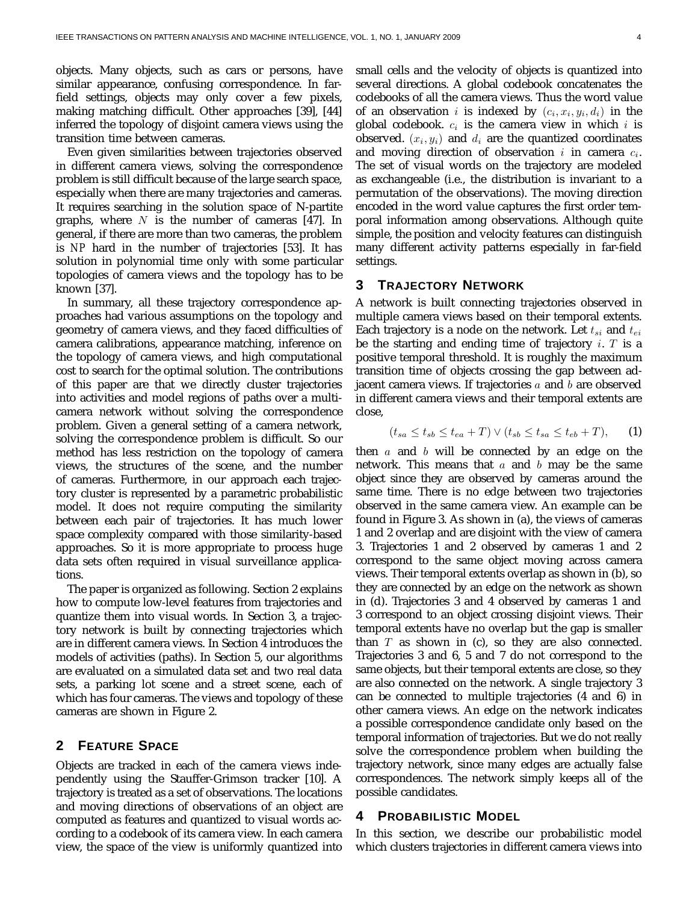objects. Many objects, such as cars or persons, have similar appearance, confusing correspondence. In farfield settings, objects may only cover a few pixels, making matching difficult. Other approaches [39], [44] inferred the topology of disjoint camera views using the transition time between cameras.

Even given similarities between trajectories observed in different camera views, solving the correspondence problem is still difficult because of the large search space, especially when there are many trajectories and cameras. It requires searching in the solution space of N-partite graphs, where  $N$  is the number of cameras [47]. In general, if there are more than two cameras, the problem is *NP* hard in the number of trajectories [53]. It has solution in polynomial time only with some particular topologies of camera views and the topology has to be known [37].

In summary, all these trajectory correspondence approaches had various assumptions on the topology and geometry of camera views, and they faced difficulties of camera calibrations, appearance matching, inference on the topology of camera views, and high computational cost to search for the optimal solution. The contributions of this paper are that we directly cluster trajectories into activities and model regions of paths over a multicamera network without solving the correspondence problem. Given a general setting of a camera network, solving the correspondence problem is difficult. So our method has less restriction on the topology of camera views, the structures of the scene, and the number of cameras. Furthermore, in our approach each trajectory cluster is represented by a parametric probabilistic model. It does not require computing the similarity between each pair of trajectories. It has much lower space complexity compared with those similarity-based approaches. So it is more appropriate to process huge data sets often required in visual surveillance applications.

The paper is organized as following. Section 2 explains how to compute low-level features from trajectories and quantize them into visual words. In Section 3, a trajectory network is built by connecting trajectories which are in different camera views. In Section 4 introduces the models of activities (paths). In Section 5, our algorithms are evaluated on a simulated data set and two real data sets, a parking lot scene and a street scene, each of which has four cameras. The views and topology of these cameras are shown in Figure 2.

# **2 FEATURE SPACE**

Objects are tracked in each of the camera views independently using the Stauffer-Grimson tracker [10]. A trajectory is treated as a set of observations. The locations and moving directions of observations of an object are computed as features and quantized to visual words according to a codebook of its camera view. In each camera view, the space of the view is uniformly quantized into small cells and the velocity of objects is quantized into several directions. A global codebook concatenates the codebooks of all the camera views. Thus the word value of an observation i is indexed by  $(c_i, x_i, y_i, d_i)$  in the global codebook.  $c_i$  is the camera view in which i is observed.  $(x_i, y_i)$  and  $d_i$  are the quantized coordinates and moving direction of observation i in camera  $c_i$ . The set of visual words on the trajectory are modeled as exchangeable (i.e., the distribution is invariant to a permutation of the observations). The moving direction encoded in the word value captures the first order temporal information among observations. Although quite simple, the position and velocity features can distinguish many different activity patterns especially in far-field settings.

# **3 TRAJECTORY NETWORK**

A network is built connecting trajectories observed in multiple camera views based on their temporal extents. Each trajectory is a node on the network. Let  $t_{si}$  and  $t_{ei}$ be the starting and ending time of trajectory  $i$ .  $T$  is a positive temporal threshold. It is roughly the maximum transition time of objects crossing the gap between adjacent camera views. If trajectories  $a$  and  $b$  are observed in different camera views and their temporal extents are close,

$$
(t_{sa} \le t_{sb} \le t_{ea} + T) \vee (t_{sb} \le t_{sa} \le t_{eb} + T), \qquad (1)
$$

then  $a$  and  $b$  will be connected by an edge on the network. This means that  $a$  and  $b$  may be the same object since they are observed by cameras around the same time. There is no edge between two trajectories observed in the same camera view. An example can be found in Figure 3. As shown in (a), the views of cameras 1 and 2 overlap and are disjoint with the view of camera 3. Trajectories 1 and 2 observed by cameras 1 and 2 correspond to the same object moving across camera views. Their temporal extents overlap as shown in (b), so they are connected by an edge on the network as shown in (d). Trajectories 3 and 4 observed by cameras 1 and 3 correspond to an object crossing disjoint views. Their temporal extents have no overlap but the gap is smaller than  $T$  as shown in (c), so they are also connected. Trajectories 3 and 6, 5 and 7 do not correspond to the same objects, but their temporal extents are close, so they are also connected on the network. A single trajectory 3 can be connected to multiple trajectories (4 and 6) in other camera views. An edge on the network indicates a possible correspondence candidate only based on the temporal information of trajectories. But we do not really solve the correspondence problem when building the trajectory network, since many edges are actually false correspondences. The network simply keeps all of the possible candidates.

# **4 PROBABILISTIC MODEL**

In this section, we describe our probabilistic model which clusters trajectories in different camera views into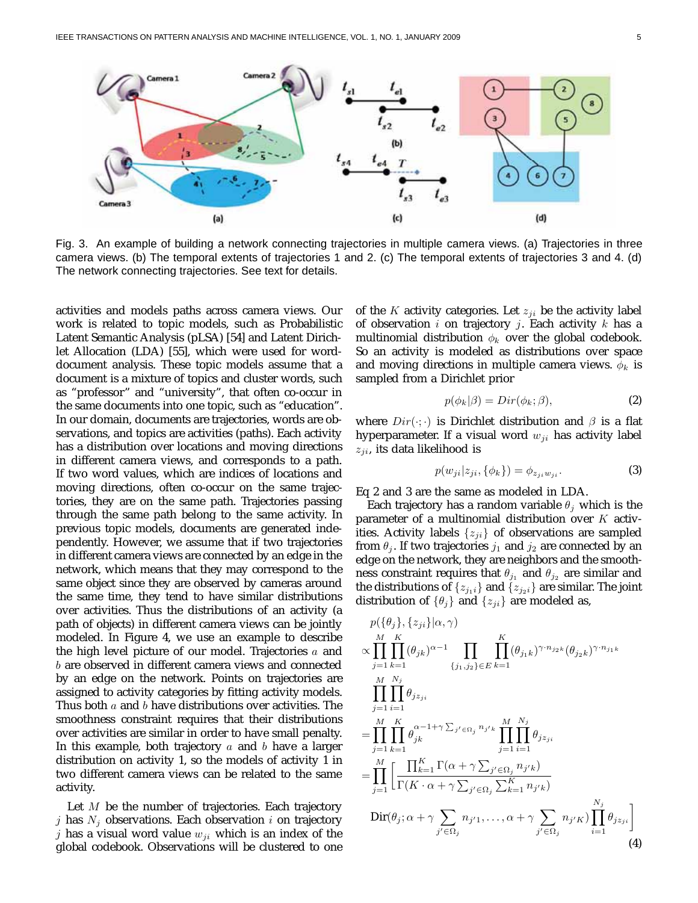

Fig. 3. An example of building a network connecting trajectories in multiple camera views. (a) Trajectories in three camera views. (b) The temporal extents of trajectories 1 and 2. (c) The temporal extents of trajectories 3 and 4. (d) The network connecting trajectories. See text for details.

activities and models paths across camera views. Our work is related to topic models, such as Probabilistic Latent Semantic Analysis (pLSA) [54] and Latent Dirichlet Allocation (LDA) [55], which were used for worddocument analysis. These topic models assume that a document is a mixture of topics and cluster words, such as "professor" and "university", that often co-occur in the same documents into one topic, such as "education". In our domain, documents are trajectories, words are observations, and topics are activities (paths). Each activity has a distribution over locations and moving directions in different camera views, and corresponds to a path. If two word values, which are indices of locations and moving directions, often co-occur on the same trajectories, they are on the same path. Trajectories passing through the same path belong to the same activity. In previous topic models, documents are generated independently. However, we assume that if two trajectories in different camera views are connected by an edge in the network, which means that they may correspond to the same object since they are observed by cameras around the same time, they tend to have similar distributions over activities. Thus the distributions of an activity (a path of objects) in different camera views can be jointly modeled. In Figure 4, we use an example to describe the high level picture of our model. Trajectories  $a$  and b are observed in different camera views and connected by an edge on the network. Points on trajectories are assigned to activity categories by fitting activity models. Thus both  $a$  and  $b$  have distributions over activities. The smoothness constraint requires that their distributions over activities are similar in order to have small penalty. In this example, both trajectory  $a$  and  $b$  have a larger distribution on activity 1, so the models of activity 1 in two different camera views can be related to the same activity.

Let  $M$  be the number of trajectories. Each trajectory  $j$  has  $N_j$  observations. Each observation  $i$  on trajectory j has a visual word value  $w_{ji}$  which is an index of the global codebook. Observations will be clustered to one of the K activity categories. Let  $z_{ji}$  be the activity label of observation  $i$  on trajectory  $j$ . Each activity  $k$  has a multinomial distribution  $\phi_k$  over the global codebook. So an activity is modeled as distributions over space and moving directions in multiple camera views.  $\phi_k$  is sampled from a Dirichlet prior

$$
p(\phi_k|\beta) = Dir(\phi_k; \beta), \qquad (2)
$$

where  $Dir(\cdot;\cdot)$  is Dirichlet distribution and  $\beta$  is a flat hyperparameter. If a visual word  $w_{ji}$  has activity label  $z_{ji}$ , its data likelihood is

$$
p(w_{ji}|z_{ji}, \{\phi_k\}) = \phi_{z_{ji}w_{ji}}.\tag{3}
$$

Eq 2 and 3 are the same as modeled in LDA.

Each trajectory has a random variable  $\theta_i$  which is the parameter of a multinomial distribution over  $K$  activities. Activity labels  $\{z_{ji}\}$  of observations are sampled from  $\theta_i$ . If two trajectories  $j_1$  and  $j_2$  are connected by an edge on the network, they are neighbors and the smoothness constraint requires that  $\theta_{j_1}$  and  $\theta_{j_2}$  are similar and the distributions of  $\{z_{j_1i}\}\$  and  $\{z_{j_2i}\}\$  are similar. The joint distribution of  $\{\theta_j\}$  and  $\{z_{ji}\}$  are modeled as,

$$
p(\{\theta_j\}, \{z_{ji}\}|\alpha, \gamma)
$$
  
\n
$$
\propto \prod_{j=1}^{M} \prod_{k=1}^{K} (\theta_{jk})^{\alpha-1} \prod_{\{j_1, j_2\} \in E} \prod_{k=1}^{K} (\theta_{j_1 k})^{\gamma \cdot n_{j_2 k}} (\theta_{j_2 k})^{\gamma \cdot n_{j_1 k}}
$$
  
\n
$$
\prod_{j=1}^{M} \prod_{i=1}^{N_j} \theta_{j z_{ji}}
$$
  
\n
$$
= \prod_{j=1}^{M} \prod_{k=1}^{K} \theta_{jk}^{\alpha-1+\gamma \sum_{j' \in \Omega_j} n_{j'k}} \prod_{j=1}^{M} \prod_{i=1}^{N_j} \theta_{j z_{ji}}
$$
  
\n
$$
= \prod_{j=1}^{M} \left[ \frac{\prod_{k=1}^{K} \Gamma(\alpha + \gamma \sum_{j' \in \Omega_j} n_{j'k})}{\Gamma(K \cdot \alpha + \gamma \sum_{j' \in \Omega_j} \sum_{k=1}^{K} n_{j'k})} \right]
$$
  
\n
$$
Dir(\theta_j; \alpha + \gamma \sum_{j' \in \Omega_j} n_{j'1}, \dots, \alpha + \gamma \sum_{j' \in \Omega_j} n_{j'K}) \prod_{i=1}^{N_j} \theta_{j z_{ji}} \right]
$$
  
\n(4)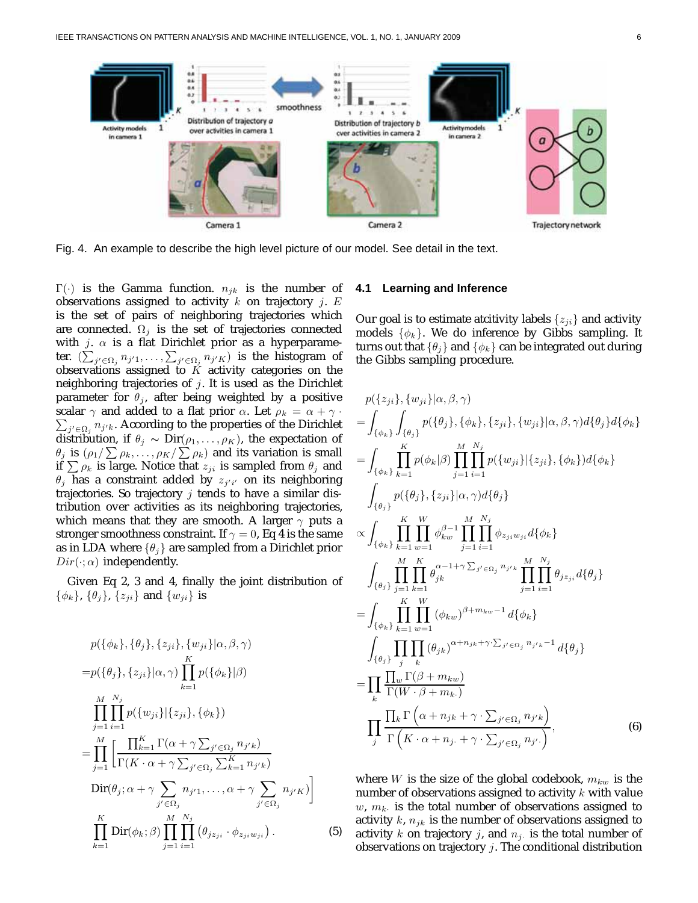

Fig. 4. An example to describe the high level picture of our model. See detail in the text.

Γ(·) is the Gamma function.  $n_{jk}$  is the number of observations assigned to activity  $k$  on trajectory  $j$ .  $E$ is the set of pairs of neighboring trajectories which are connected.  $\Omega_i$  is the set of trajectories connected with  $j. \alpha$  is a flat Dirichlet prior as a hyperparameter.  $(\sum_{j' \in \Omega_j} n_{j'1}, \ldots, \sum_{j' \in \Omega_j} n_{j'K})$  is the histogram of observations assigned to K activity categories on the neighboring trajectories of  $j$ . It is used as the Dirichlet parameter for  $\theta_i$ , after being weighted by a positive scalar  $\gamma$  and added to a flat prior  $\alpha$ . Let  $\rho_k = \alpha + \gamma \cdot$ <br>  $\sum_{k=1}^{\infty} a_k \alpha_k$  According to the properties of the Dirichlet  $\sum_{j' \in \Omega_j} n_{j'k}.$  According to the properties of the Dirichlet distribution, if  $\theta_j \sim \text{Dir}(\rho_1,\ldots,\rho_K)$ , the expectation of  $\theta_j$  is  $(\rho_1/\sum \rho_k, ..., \rho_K/\sum \rho_k)$  and its variation is small<br>if  $\sum \rho_k$  is large. Notice that  $z_k$  is sampled from  $\theta_k$  and if  $\sum \rho_k$  is large. Notice that  $z_{ji}$  is sampled from  $\theta_j$  and  $\theta_j$  has a constraint added by  $z_{j'i'}$  on its neighboring trajectories. So trajectory  $j$  tends to have a similar distribution over activities as its neighboring trajectories, which means that they are smooth. A larger  $\gamma$  puts a stronger smoothness constraint. If  $\gamma = 0$ , Eq 4 is the same as in LDA where  $\{\theta_i\}$  are sampled from a Dirichlet prior  $Dir(\cdot; \alpha)$  independently.

Given Eq 2, 3 and 4, finally the joint distribution of  $\{\phi_k\}, \{\theta_j\}, \{z_{ji}\}\$  and  $\{w_{ji}\}\$  is

$$
p(\{\phi_k\}, \{\theta_j\}, \{z_{ji}\}, \{w_{ji}\} | \alpha, \beta, \gamma)
$$
  
\n
$$
= p(\{\theta_j\}, \{z_{ji}\} | \alpha, \gamma) \prod_{k=1}^K p(\{\phi_k\} | \beta)
$$
  
\n
$$
\prod_{j=1}^M \prod_{i=1}^{N_j} p(\{w_{ji}\} | \{z_{ji}\}, \{\phi_k\})
$$
  
\n
$$
= \prod_{j=1}^M \left[ \frac{\prod_{k=1}^K \Gamma(\alpha + \gamma \sum_{j' \in \Omega_j} n_{j'k})}{\Gamma(K \cdot \alpha + \gamma \sum_{j' \in \Omega_j} \sum_{k=1}^K n_{j'k})} \right]
$$
  
\n
$$
\text{Dir}(\theta_j; \alpha + \gamma \sum_{j' \in \Omega_j} n_{j'1}, \dots, \alpha + \gamma \sum_{j' \in \Omega_j} n_{j'K})
$$
  
\n
$$
\prod_{k=1}^K \text{Dir}(\phi_k; \beta) \prod_{j=1}^M \prod_{i=1}^N (\theta_{j z_{ji}} \cdot \phi_{z_{ji} w_{ji}}).
$$
 (5)

## **4.1 Learning and Inference**

Our goal is to estimate atcitivity labels  $\{z_{ji}\}$  and activity models  $\{\phi_k\}$ . We do inference by Gibbs sampling. It turns out that  $\{\theta_i\}$  and  $\{\phi_k\}$  can be integrated out during the Gibbs sampling procedure.

$$
p(\{z_{ji}\}, \{w_{ji}\}|\alpha, \beta, \gamma) = \int_{\{\phi_k\}} \int_{\{\theta_j\}} p(\{\theta_j\}, \{\phi_k\}, \{z_{ji}\}, \{w_{ji}\}|\alpha, \beta, \gamma) d\{\theta_j\} d\{\phi_k\} = \int_{\{\phi_k\}} \prod_{k=1}^K p(\phi_k|\beta) \prod_{j=1}^M \prod_{i=1}^N p(\{w_{ji}\}|\{z_{ji}\}, \{\phi_k\}) d\{\phi_k\} = \int_{\{\theta_j\}} \sum_{k=1}^K p(\theta_j|\beta) \prod_{j=1}^M \prod_{i=1}^M p(\{w_{ji}\}|\{z_{ji}\}, \{\phi_k\}) d\{\phi_k\} \propto \int_{\{\phi_k\}} \prod_{k=1}^K \prod_{w=1}^M \phi_{kw}^{\beta-1} \prod_{j=1}^M \prod_{i=1}^M \phi_{z_{ji}w_{ji}} d\{\phi_k\} = \int_{\{\theta_j\}} \prod_{j=1}^K \prod_{k=1}^M \theta_{jk}^{\alpha-1+\gamma \sum_{j' \in \Omega_j} n_{j'k}} \prod_{j=1}^M \prod_{i=1}^M \theta_{j z_{ji}} d\{\theta_j\} = \int_{\{\phi_k\}} \prod_{k=1}^K \prod_{w=1}^M (\phi_{kw})^{\beta+m_{kw}-1} d\{\phi_k\} = \prod_{k} \prod_{j=1}^M (\theta_{jk})^{\alpha+n_{jk}+\gamma \cdot \sum_{j' \in \Omega_j} n_{j'k}-1} d\{\theta_j\} = \prod_{k} \frac{\prod_{w} \Gamma(\beta+m_{kw})}{\Gamma(W \cdot \beta+m_k)} \prod_{j=1}^M \frac{\prod_{k} \Gamma(\alpha+n_{jk} + \gamma \cdot \sum_{j' \in \Omega_j} n_{j'k})}{\Gamma(K \cdot \alpha + n_{j} + \gamma \cdot \sum_{j' \in \Omega_j} n_{j'})},
$$
(6)

where W is the size of the global codebook,  $m_{kw}$  is the number of observations assigned to activity  $k$  with value  $w, m_k$  is the total number of observations assigned to activity  $k$ ,  $n_{jk}$  is the number of observations assigned to activity k on trajectory j, and  $n_i$  is the total number of observations on trajectory  $j$ . The conditional distribution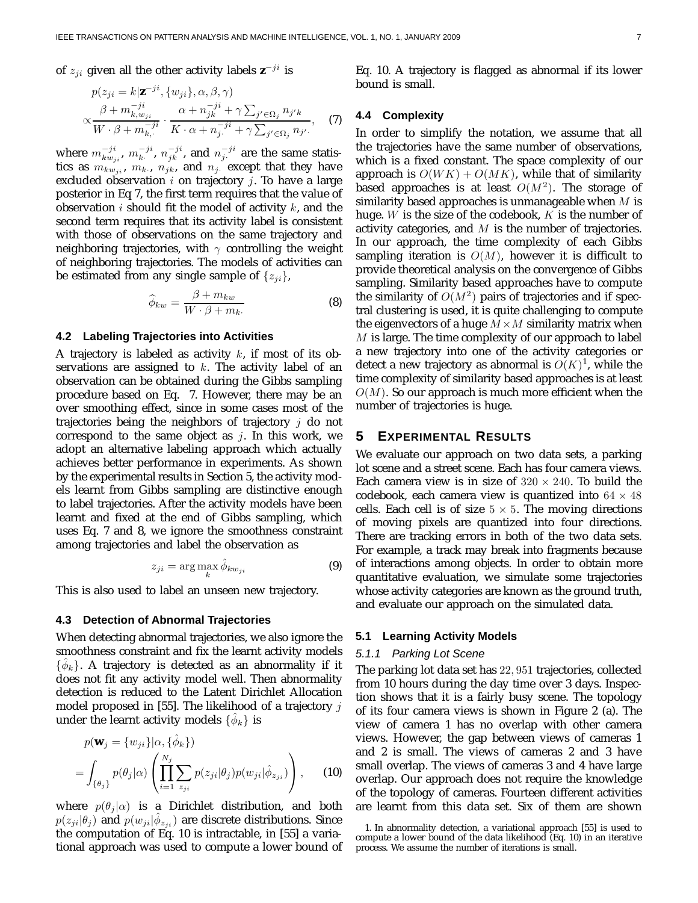of  $z_{ji}$  given all the other activity labels  $z^{-ji}$  is

$$
p(z_{ji} = k | \mathbf{z}^{-ji}, \{w_{ji}\}, \alpha, \beta, \gamma)
$$
  

$$
\propto \frac{\beta + m_{k, w_{ji}}^{-ji}}{W \cdot \beta + m_{k, \cdot}^{-ji}} \cdot \frac{\alpha + n_{jk}^{-ji} + \gamma \sum_{j' \in \Omega_j} n_{j'k}}{K \cdot \alpha + n_{j, \cdot}^{-ji} + \gamma \sum_{j' \in \Omega_j} n_{j'}},
$$
 (7)

where  $m_{kw_{ji}}^{-ji}$ ,  $m_{k}^{-ji}$ ,  $n_{jk}^{-ji}$ , and  $n_{j}^{-ji}$  are the same statistics as  $m_{kw_{ji}}$ ,  $m_k$ .,  $n_{jk}$ , and  $n_j$  except that they have excluded observation  $i$  on trajectory  $j$ . To have a large posterior in Eq 7, the first term requires that the value of observation  $i$  should fit the model of activity  $k$ , and the second term requires that its activity label is consistent with those of observations on the same trajectory and neighboring trajectories, with  $\gamma$  controlling the weight of neighboring trajectories. The models of activities can be estimated from any single sample of  $\{z_{ii}\},$ 

$$
\widehat{\phi}_{kw} = \frac{\beta + m_{kw}}{W \cdot \beta + m_k.}
$$
 (8)

## **4.2 Labeling Trajectories into Activities**

A trajectory is labeled as activity  $k$ , if most of its observations are assigned to  $k$ . The activity label of an observation can be obtained during the Gibbs sampling procedure based on Eq. 7. However, there may be an over smoothing effect, since in some cases most of the trajectories being the neighbors of trajectory  $j$  do not correspond to the same object as  $i$ . In this work, we adopt an alternative labeling approach which actually achieves better performance in experiments. As shown by the experimental results in Section 5, the activity models learnt from Gibbs sampling are distinctive enough to label trajectories. After the activity models have been learnt and fixed at the end of Gibbs sampling, which uses Eq. 7 and 8, we ignore the smoothness constraint among trajectories and label the observation as

$$
z_{ji} = \arg\max_{k} \hat{\phi}_{kw_{ji}} \tag{9}
$$

This is also used to label an unseen new trajectory.

## **4.3 Detection of Abnormal Trajectories**

When detecting abnormal trajectories, we also ignore the smoothness constraint and fix the learnt activity models  $\{\hat{\phi}_k\}$ . A trajectory is detected as an abnormality if it does not fit any activity model well. Then abnormality detection is reduced to the Latent Dirichlet Allocation model proposed in [55]. The likelihood of a trajectory  $j$ under the learnt activity models  $\{\hat{\phi}_k\}$  is

$$
p(\mathbf{w}_j = \{w_{ji}\}|\alpha, \{\phi_k\})
$$
  
= 
$$
\int_{\{\theta_j\}} p(\theta_j|\alpha) \left(\prod_{i=1}^{N_j} \sum_{z_{ji}} p(z_{ji}|\theta_j) p(w_{ji}|\hat{\phi}_{z_{ji}})\right),
$$
 (10)

where  $p(\theta_i|\alpha)$  is a Dirichlet distribution, and both  $p(z_{ji}|\theta_j)$  and  $p(w_{ji}|\hat{\phi}_{z_{ji}})$  are discrete distributions. Since the computation of Eq. 10 is intractable, in [55] a variational approach was used to compute a lower bound of Eq. 10. A trajectory is flagged as abnormal if its lower bound is small.

# **4.4 Complexity**

In order to simplify the notation, we assume that all the trajectories have the same number of observations, which is a fixed constant. The space complexity of our approach is  $O(WK) + O(MK)$ , while that of similarity based approaches is at least  $O(M^2)$ . The storage of similarity based approaches is unmanageable when  $M$  is huge. W is the size of the codebook, K is the number of activity categories, and  $M$  is the number of trajectories. In our approach, the time complexity of each Gibbs sampling iteration is  $O(M)$ , however it is difficult to provide theoretical analysis on the convergence of Gibbs sampling. Similarity based approaches have to compute the similarity of  $O(M^2)$  pairs of trajectories and if spectral clustering is used, it is quite challenging to compute the eigenvectors of a huge  $M \times M$  similarity matrix when  $M$  is large. The time complexity of our approach to label a new trajectory into one of the activity categories or detect a new trajectory as abnormal is  $O(K)^1$ , while the time complexity of similarity based approaches is at least  $O(M)$ . So our approach is much more efficient when the number of trajectories is huge.

# **5 EXPERIMENTAL RESULTS**

We evaluate our approach on two data sets, a parking lot scene and a street scene. Each has four camera views. Each camera view is in size of  $320 \times 240$ . To build the codebook, each camera view is quantized into  $64 \times 48$ cells. Each cell is of size  $5 \times 5$ . The moving directions of moving pixels are quantized into four directions. There are tracking errors in both of the two data sets. For example, a track may break into fragments because of interactions among objects. In order to obtain more quantitative evaluation, we simulate some trajectories whose activity categories are known as the ground truth, and evaluate our approach on the simulated data.

#### **5.1 Learning Activity Models**

#### *5.1.1 Parking Lot Scene*

The parking lot data set has 22, 951 trajectories, collected from 10 hours during the day time over 3 days. Inspection shows that it is a fairly busy scene. The topology of its four camera views is shown in Figure 2 (a). The view of camera 1 has no overlap with other camera views. However, the gap between views of cameras 1 and 2 is small. The views of cameras 2 and 3 have small overlap. The views of cameras 3 and 4 have large overlap. Our approach does not require the knowledge of the topology of cameras. Fourteen different activities are learnt from this data set. Six of them are shown

<sup>1.</sup> In abnormality detection, a variational approach [55] is used to compute a lower bound of the data likelihood (Eq. 10) in an iterative process. We assume the number of iterations is small.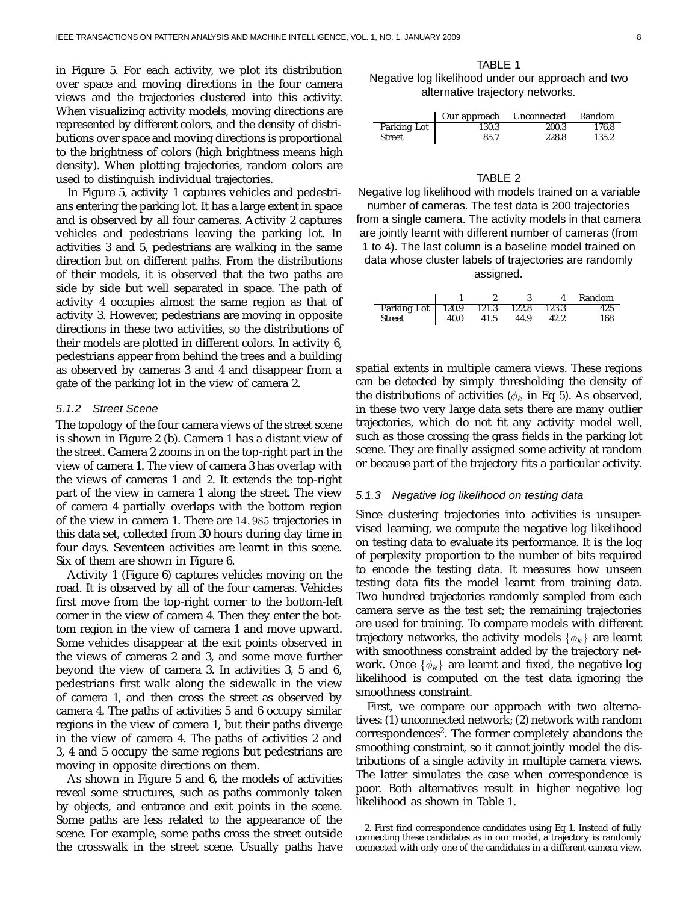in Figure 5. For each activity, we plot its distribution over space and moving directions in the four camera views and the trajectories clustered into this activity. When visualizing activity models, moving directions are represented by different colors, and the density of distributions over space and moving directions is proportional to the brightness of colors (high brightness means high density). When plotting trajectories, random colors are used to distinguish individual trajectories.

In Figure 5, activity 1 captures vehicles and pedestrians entering the parking lot. It has a large extent in space and is observed by all four cameras. Activity 2 captures vehicles and pedestrians leaving the parking lot. In activities 3 and 5, pedestrians are walking in the same direction but on different paths. From the distributions of their models, it is observed that the two paths are side by side but well separated in space. The path of activity 4 occupies almost the same region as that of activity 3. However, pedestrians are moving in opposite directions in these two activities, so the distributions of their models are plotted in different colors. In activity 6, pedestrians appear from behind the trees and a building as observed by cameras 3 and 4 and disappear from a gate of the parking lot in the view of camera 2.

## *5.1.2 Street Scene*

The topology of the four camera views of the street scene is shown in Figure 2 (b). Camera 1 has a distant view of the street. Camera 2 zooms in on the top-right part in the view of camera 1. The view of camera 3 has overlap with the views of cameras 1 and 2. It extends the top-right part of the view in camera 1 along the street. The view of camera 4 partially overlaps with the bottom region of the view in camera 1. There are 14, 985 trajectories in this data set, collected from 30 hours during day time in four days. Seventeen activities are learnt in this scene. Six of them are shown in Figure 6.

Activity 1 (Figure 6) captures vehicles moving on the road. It is observed by all of the four cameras. Vehicles first move from the top-right corner to the bottom-left corner in the view of camera 4. Then they enter the bottom region in the view of camera 1 and move upward. Some vehicles disappear at the exit points observed in the views of cameras 2 and 3, and some move further beyond the view of camera 3. In activities 3, 5 and 6, pedestrians first walk along the sidewalk in the view of camera 1, and then cross the street as observed by camera 4. The paths of activities 5 and 6 occupy similar regions in the view of camera 1, but their paths diverge in the view of camera 4. The paths of activities 2 and 3, 4 and 5 occupy the same regions but pedestrians are moving in opposite directions on them.

As shown in Figure 5 and 6, the models of activities reveal some structures, such as paths commonly taken by objects, and entrance and exit points in the scene. Some paths are less related to the appearance of the scene. For example, some paths cross the street outside the crosswalk in the street scene. Usually paths have

TABLE 1 Negative log likelihood under our approach and two alternative trajectory networks.

|               | Our approach | Unconnected | <b>Random</b> |
|---------------|--------------|-------------|---------------|
| Parking Lot   | 130.3        | 200.3       | 176.8         |
| <b>Street</b> | 85.7         | 228.8       | 135.2         |
|               |              |             |               |

## TABLE 2

Negative log likelihood with models trained on a variable number of cameras. The test data is 200 trajectories from a single camera. The activity models in that camera are jointly learnt with different number of cameras (from 1 to 4). The last column is a baseline model trained on data whose cluster labels of trajectories are randomly assigned.

|                     |      |             |      |       | Random |
|---------------------|------|-------------|------|-------|--------|
| Parking Lot   120.9 |      | 121.3 122.8 |      | 123.3 | 425    |
| <b>Street</b>       | 40.0 | 41.5        | 44.9 | 42.2  | 168    |

spatial extents in multiple camera views. These regions can be detected by simply thresholding the density of the distributions of activities ( $\phi_k$  in Eq 5). As observed, in these two very large data sets there are many outlier trajectories, which do not fit any activity model well, such as those crossing the grass fields in the parking lot scene. They are finally assigned some activity at random or because part of the trajectory fits a particular activity.

## *5.1.3 Negative log likelihood on testing data*

Since clustering trajectories into activities is unsupervised learning, we compute the negative log likelihood on testing data to evaluate its performance. It is the log of perplexity proportion to the number of bits required to encode the testing data. It measures how unseen testing data fits the model learnt from training data. Two hundred trajectories randomly sampled from each camera serve as the test set; the remaining trajectories are used for training. To compare models with different trajectory networks, the activity models  $\{\phi_k\}$  are learnt with smoothness constraint added by the trajectory network. Once  $\{\phi_k\}$  are learnt and fixed, the negative log likelihood is computed on the test data ignoring the smoothness constraint.

First, we compare our approach with two alternatives: (1) unconnected network; (2) network with random correspondences<sup>2</sup>. The former completely abandons the smoothing constraint, so it cannot jointly model the distributions of a single activity in multiple camera views. The latter simulates the case when correspondence is poor. Both alternatives result in higher negative log likelihood as shown in Table 1.

<sup>2.</sup> First find correspondence candidates using Eq 1. Instead of fully connecting these candidates as in our model, a trajectory is randomly connected with only one of the candidates in a different camera view.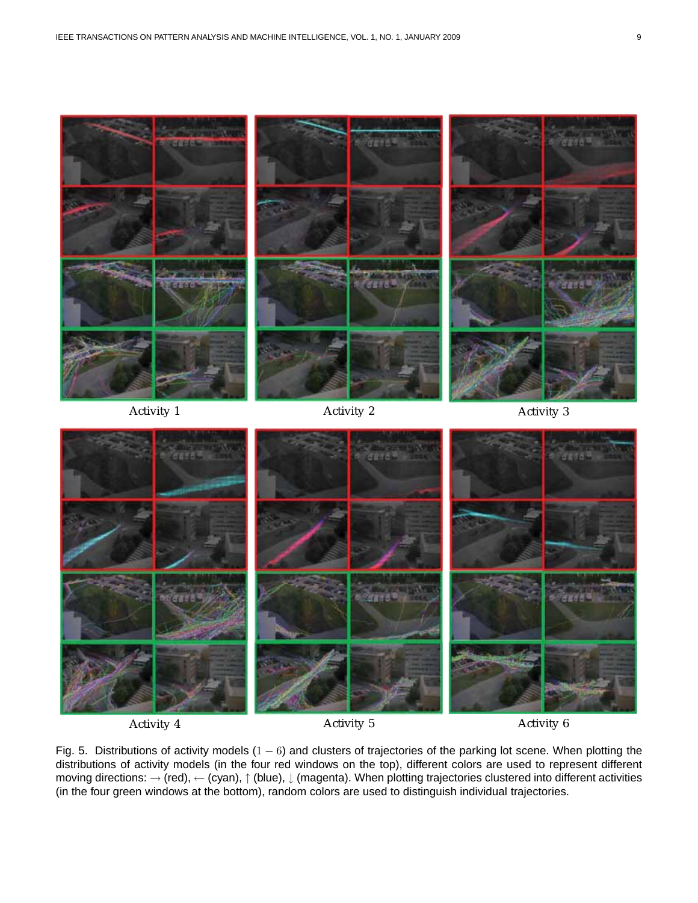



Fig. 5. Distributions of activity models  $(1 - 6)$  and clusters of trajectories of the parking lot scene. When plotting the distributions of activity models (in the four red windows on the top), different colors are used to represent different moving directions: → (red), ← (cyan), ↑ (blue), ↓ (magenta). When plotting trajectories clustered into different activities (in the four green windows at the bottom), random colors are used to distinguish individual trajectories.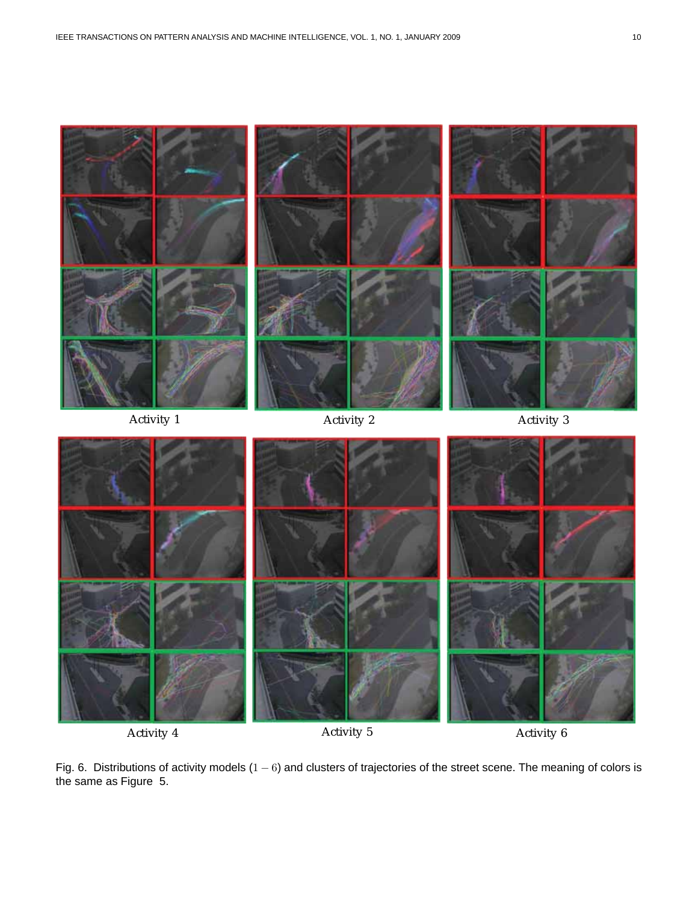



Fig. 6. Distributions of activity models  $(1 - 6)$  and clusters of trajectories of the street scene. The meaning of colors is the same as Figure 5.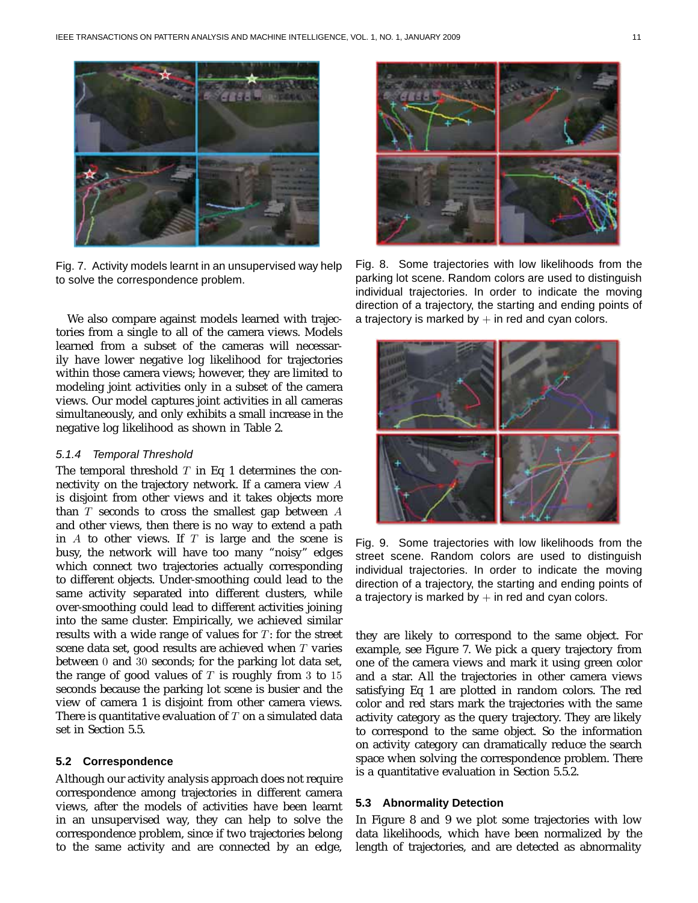

Fig. 7. Activity models learnt in an unsupervised way help to solve the correspondence problem.

We also compare against models learned with trajectories from a single to all of the camera views. Models learned from a subset of the cameras will necessarily have lower negative log likelihood for trajectories within those camera views; however, they are limited to modeling joint activities only in a subset of the camera views. Our model captures joint activities in all cameras simultaneously, and only exhibits a small increase in the negative log likelihood as shown in Table 2.

## *5.1.4 Temporal Threshold*

The temporal threshold  $T$  in Eq 1 determines the connectivity on the trajectory network. If a camera view A is disjoint from other views and it takes objects more than  $T$  seconds to cross the smallest gap between  $A$ and other views, then there is no way to extend a path in  $A$  to other views. If  $T$  is large and the scene is busy, the network will have too many "noisy" edges which connect two trajectories actually corresponding to different objects. Under-smoothing could lead to the same activity separated into different clusters, while over-smoothing could lead to different activities joining into the same cluster. Empirically, we achieved similar results with a wide range of values for  $T$ : for the street scene data set, good results are achieved when  $T$  varies between 0 and 30 seconds; for the parking lot data set, the range of good values of  $T$  is roughly from 3 to 15 seconds because the parking lot scene is busier and the view of camera 1 is disjoint from other camera views. There is quantitative evaluation of  $T$  on a simulated data set in Section 5.5.

## **5.2 Correspondence**

Although our activity analysis approach does not require correspondence among trajectories in different camera views, after the models of activities have been learnt in an unsupervised way, they can help to solve the correspondence problem, since if two trajectories belong to the same activity and are connected by an edge,



Fig. 8. Some trajectories with low likelihoods from the parking lot scene. Random colors are used to distinguish individual trajectories. In order to indicate the moving direction of a trajectory, the starting and ending points of a trajectory is marked by  $+$  in red and cyan colors.



Fig. 9. Some trajectories with low likelihoods from the street scene. Random colors are used to distinguish individual trajectories. In order to indicate the moving direction of a trajectory, the starting and ending points of a trajectory is marked by  $+$  in red and cyan colors.

they are likely to correspond to the same object. For example, see Figure 7. We pick a query trajectory from one of the camera views and mark it using green color and a star. All the trajectories in other camera views satisfying Eq 1 are plotted in random colors. The red color and red stars mark the trajectories with the same activity category as the query trajectory. They are likely to correspond to the same object. So the information on activity category can dramatically reduce the search space when solving the correspondence problem. There is a quantitative evaluation in Section 5.5.2.

## **5.3 Abnormality Detection**

In Figure 8 and 9 we plot some trajectories with low data likelihoods, which have been normalized by the length of trajectories, and are detected as abnormality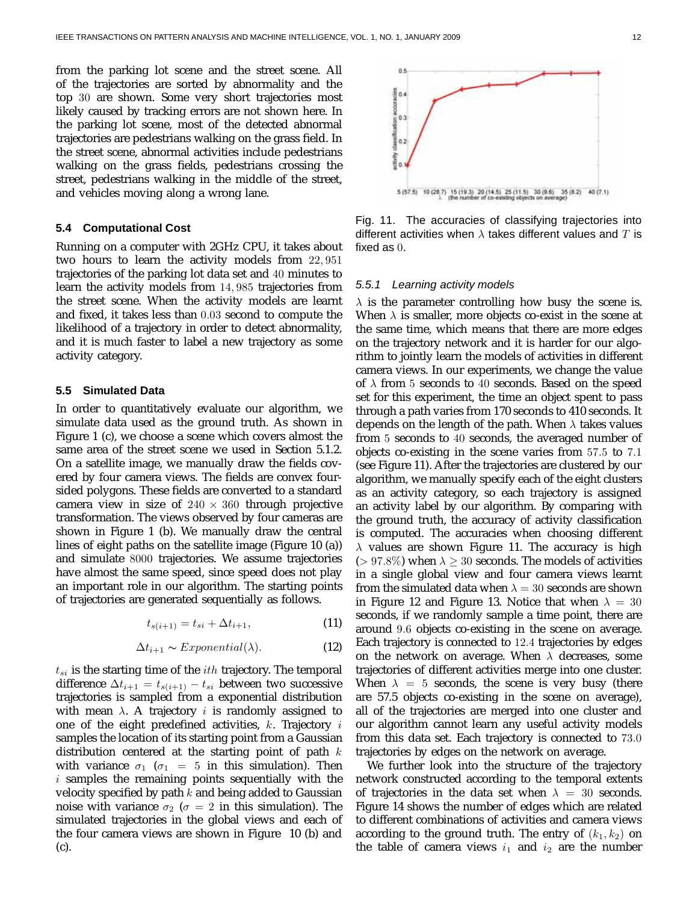from the parking lot scene and the street scene. All of the trajectories are sorted by abnormality and the top 30 are shown. Some very short trajectories most likely caused by tracking errors are not shown here. In the parking lot scene, most of the detected abnormal trajectories are pedestrians walking on the grass field. In the street scene, abnormal activities include pedestrians walking on the grass fields, pedestrians crossing the street, pedestrians walking in the middle of the street, and vehicles moving along a wrong lane.

#### **5.4 Computational Cost**

Running on a computer with 2GHz CPU, it takes about two hours to learn the activity models from 22, 951 trajectories of the parking lot data set and 40 minutes to learn the activity models from 14, 985 trajectories from the street scene. When the activity models are learnt and fixed, it takes less than 0.03 second to compute the likelihood of a trajectory in order to detect abnormality, and it is much faster to label a new trajectory as some activity category.

#### **5.5 Simulated Data**

In order to quantitatively evaluate our algorithm, we simulate data used as the ground truth. As shown in Figure 1 (c), we choose a scene which covers almost the same area of the street scene we used in Section 5.1.2. On a satellite image, we manually draw the fields covered by four camera views. The fields are convex foursided polygons. These fields are converted to a standard camera view in size of  $240 \times 360$  through projective transformation. The views observed by four cameras are shown in Figure 1 (b). We manually draw the central lines of eight paths on the satellite image (Figure 10 (a)) and simulate 8000 trajectories. We assume trajectories have almost the same speed, since speed does not play an important role in our algorithm. The starting points of trajectories are generated sequentially as follows.

$$
t_{s(i+1)} = t_{si} + \Delta t_{i+1},
$$
\n(11)

$$
\Delta t_{i+1} \sim Exponential(\lambda). \tag{12}
$$

 $t_{si}$  is the starting time of the *ith* trajectory. The temporal difference  $\Delta t_{i+1} = t_{s(i+1)} - t_{si}$  between two successive trajectories is sampled from a exponential distribution with mean  $\lambda$ . A trajectory *i* is randomly assigned to one of the eight predefined activities,  $k$ . Trajectory  $i$ samples the location of its starting point from a Gaussian distribution centered at the starting point of path  $k$ with variance  $\sigma_1$  ( $\sigma_1$  = 5 in this simulation). Then  $i$  samples the remaining points sequentially with the velocity specified by path  $k$  and being added to Gaussian noise with variance  $\sigma_2$  ( $\sigma = 2$  in this simulation). The simulated trajectories in the global views and each of the four camera views are shown in Figure 10 (b) and (c).

 $0.5$ 804  $\epsilon$  $0.2$ 5 (57.5) 10 (28.7) 15 (19.3) 20 (14.5) 25 (11.5) 30 (9.6) 35 (8.2) 40 (7.1)

Fig. 11. The accuracies of classifying trajectories into different activities when  $\lambda$  takes different values and T is fixed as 0.

## *5.5.1 Learning activity models*

 $\lambda$  is the parameter controlling how busy the scene is. When  $\lambda$  is smaller, more objects co-exist in the scene at the same time, which means that there are more edges on the trajectory network and it is harder for our algorithm to jointly learn the models of activities in different camera views. In our experiments, we change the value of  $\lambda$  from 5 seconds to 40 seconds. Based on the speed set for this experiment, the time an object spent to pass through a path varies from 170 seconds to 410 seconds. It depends on the length of the path. When  $\lambda$  takes values from 5 seconds to 40 seconds, the averaged number of objects co-existing in the scene varies from 57.5 to 7.1 (see Figure 11). After the trajectories are clustered by our algorithm, we manually specify each of the eight clusters as an activity category, so each trajectory is assigned an activity label by our algorithm. By comparing with the ground truth, the accuracy of activity classification is computed. The accuracies when choosing different  $\lambda$  values are shown Figure 11. The accuracy is high ( $> 97.8\%$ ) when  $\lambda \geq 30$  seconds. The models of activities in a single global view and four camera views learnt from the simulated data when  $\lambda = 30$  seconds are shown in Figure 12 and Figure 13. Notice that when  $\lambda = 30$ seconds, if we randomly sample a time point, there are around 9.6 objects co-existing in the scene on average. Each trajectory is connected to 12.4 trajectories by edges on the network on average. When  $\lambda$  decreases, some trajectories of different activities merge into one cluster. When  $\lambda = 5$  seconds, the scene is very busy (there are 57.5 objects co-existing in the scene on average), all of the trajectories are merged into one cluster and our algorithm cannot learn any useful activity models from this data set. Each trajectory is connected to 73.0 trajectories by edges on the network on average.

We further look into the structure of the trajectory network constructed according to the temporal extents of trajectories in the data set when  $\lambda = 30$  seconds. Figure 14 shows the number of edges which are related to different combinations of activities and camera views according to the ground truth. The entry of  $(k_1, k_2)$  on the table of camera views  $i_1$  and  $i_2$  are the number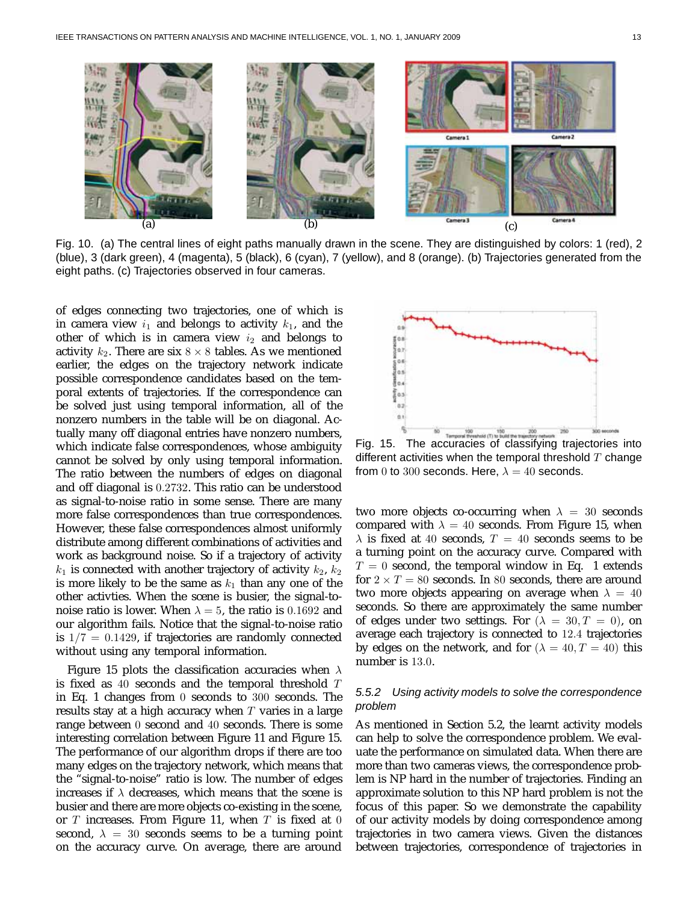

Fig. 10. (a) The central lines of eight paths manually drawn in the scene. They are distinguished by colors: 1 (red), 2 (blue), 3 (dark green), 4 (magenta), 5 (black), 6 (cyan), 7 (yellow), and 8 (orange). (b) Trajectories generated from the eight paths. (c) Trajectories observed in four cameras.

of edges connecting two trajectories, one of which is in camera view  $i_1$  and belongs to activity  $k_1$ , and the other of which is in camera view  $i_2$  and belongs to activity  $k_2$ . There are six  $8 \times 8$  tables. As we mentioned earlier, the edges on the trajectory network indicate possible correspondence candidates based on the temporal extents of trajectories. If the correspondence can be solved just using temporal information, all of the nonzero numbers in the table will be on diagonal. Actually many off diagonal entries have nonzero numbers, which indicate false correspondences, whose ambiguity cannot be solved by only using temporal information. The ratio between the numbers of edges on diagonal and off diagonal is 0.2732. This ratio can be understood as signal-to-noise ratio in some sense. There are many more false correspondences than true correspondences. However, these false correspondences almost uniformly distribute among different combinations of activities and work as background noise. So if a trajectory of activity  $k_1$  is connected with another trajectory of activity  $k_2$ ,  $k_2$ is more likely to be the same as  $k_1$  than any one of the other activties. When the scene is busier, the signal-tonoise ratio is lower. When  $\lambda = 5$ , the ratio is 0.1692 and our algorithm fails. Notice that the signal-to-noise ratio is  $1/7=0.1429$ , if trajectories are randomly connected without using any temporal information.

Figure 15 plots the classification accuracies when  $\lambda$ is fixed as  $40$  seconds and the temporal threshold  $T$ in Eq. 1 changes from 0 seconds to 300 seconds. The results stay at a high accuracy when  $T$  varies in a large range between 0 second and 40 seconds. There is some interesting correlation between Figure 11 and Figure 15. The performance of our algorithm drops if there are too many edges on the trajectory network, which means that the "signal-to-noise" ratio is low. The number of edges increases if  $\lambda$  decreases, which means that the scene is busier and there are more objects co-existing in the scene, or  $T$  increases. From Figure 11, when  $T$  is fixed at 0 second,  $\lambda = 30$  seconds seems to be a turning point on the accuracy curve. On average, there are around



Fig. 15. The accuracies of classifying trajectories into different activities when the temporal threshold  $T$  change from 0 to 300 seconds. Here,  $\lambda = 40$  seconds.

two more objects co-occurring when  $\lambda = 30$  seconds compared with  $\lambda = 40$  seconds. From Figure 15, when  $\lambda$  is fixed at 40 seconds,  $T = 40$  seconds seems to be a turning point on the accuracy curve. Compared with  $T = 0$  second, the temporal window in Eq. 1 extends for  $2 \times T = 80$  seconds. In 80 seconds, there are around two more objects appearing on average when  $\lambda = 40$ seconds. So there are approximately the same number of edges under two settings. For  $(\lambda = 30, T = 0)$ , on average each trajectory is connected to 12.4 trajectories by edges on the network, and for  $(\lambda = 40, T = 40)$  this number is 13.0.

# *5.5.2 Using activity models to solve the correspondence problem*

As mentioned in Section 5.2, the learnt activity models can help to solve the correspondence problem. We evaluate the performance on simulated data. When there are more than two cameras views, the correspondence problem is NP hard in the number of trajectories. Finding an approximate solution to this NP hard problem is not the focus of this paper. So we demonstrate the capability of our activity models by doing correspondence among trajectories in two camera views. Given the distances between trajectories, correspondence of trajectories in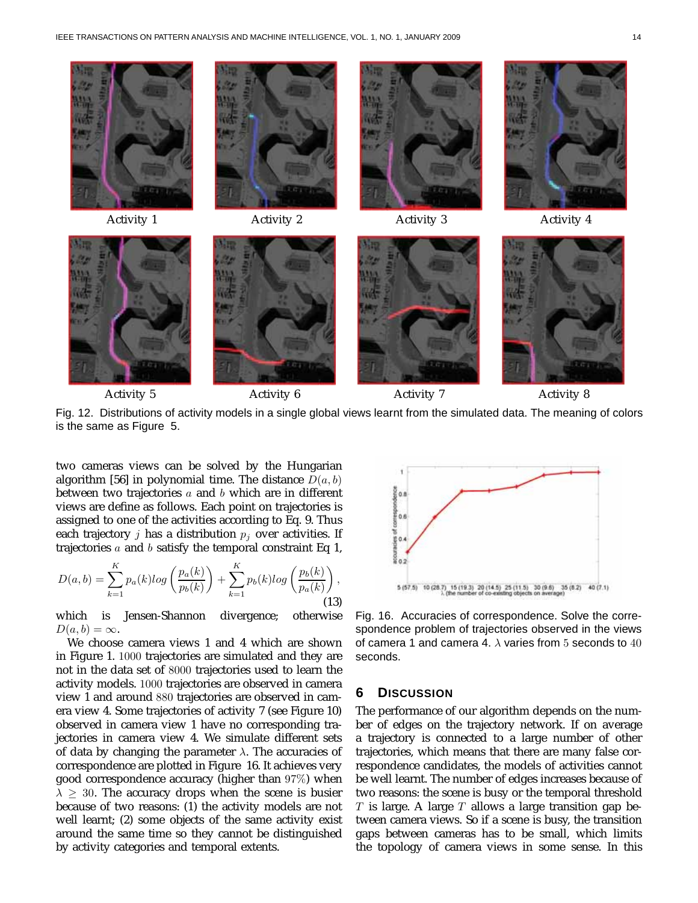

Fig. 12. Distributions of activity models in a single global views learnt from the simulated data. The meaning of colors is the same as Figure 5.

two cameras views can be solved by the Hungarian algorithm [56] in polynomial time. The distance  $D(a, b)$ between two trajectories  $a$  and  $b$  which are in different views are define as follows. Each point on trajectories is assigned to one of the activities according to Eq. 9. Thus each trajectory *j* has a distribution  $p_i$  over activities. If trajectories  $a$  and  $b$  satisfy the temporal constraint Eq 1,

$$
D(a,b) = \sum_{k=1}^{K} p_a(k) \log \left( \frac{p_a(k)}{p_b(k)} \right) + \sum_{k=1}^{K} p_b(k) \log \left( \frac{p_b(k)}{p_a(k)} \right),\tag{13}
$$

which is Jensen-Shannon divergence; otherwise  $D(a, b) = \infty$ .

We choose camera views 1 and 4 which are shown in Figure 1. 1000 trajectories are simulated and they are not in the data set of 8000 trajectories used to learn the activity models. 1000 trajectories are observed in camera view 1 and around 880 trajectories are observed in camera view 4. Some trajectories of activity 7 (see Figure 10) observed in camera view 1 have no corresponding trajectories in camera view 4. We simulate different sets of data by changing the parameter  $\lambda$ . The accuracies of correspondence are plotted in Figure 16. It achieves very good correspondence accuracy (higher than 97%) when  $\lambda \geq 30$ . The accuracy drops when the scene is busier because of two reasons: (1) the activity models are not well learnt; (2) some objects of the same activity exist around the same time so they cannot be distinguished by activity categories and temporal extents.



Fig. 16. Accuracies of correspondence. Solve the correspondence problem of trajectories observed in the views of camera 1 and camera 4.  $\lambda$  varies from 5 seconds to 40 seconds.

# **6 DISCUSSION**

The performance of our algorithm depends on the number of edges on the trajectory network. If on average a trajectory is connected to a large number of other trajectories, which means that there are many false correspondence candidates, the models of activities cannot be well learnt. The number of edges increases because of two reasons: the scene is busy or the temporal threshold  $T$  is large. A large  $T$  allows a large transition gap between camera views. So if a scene is busy, the transition gaps between cameras has to be small, which limits the topology of camera views in some sense. In this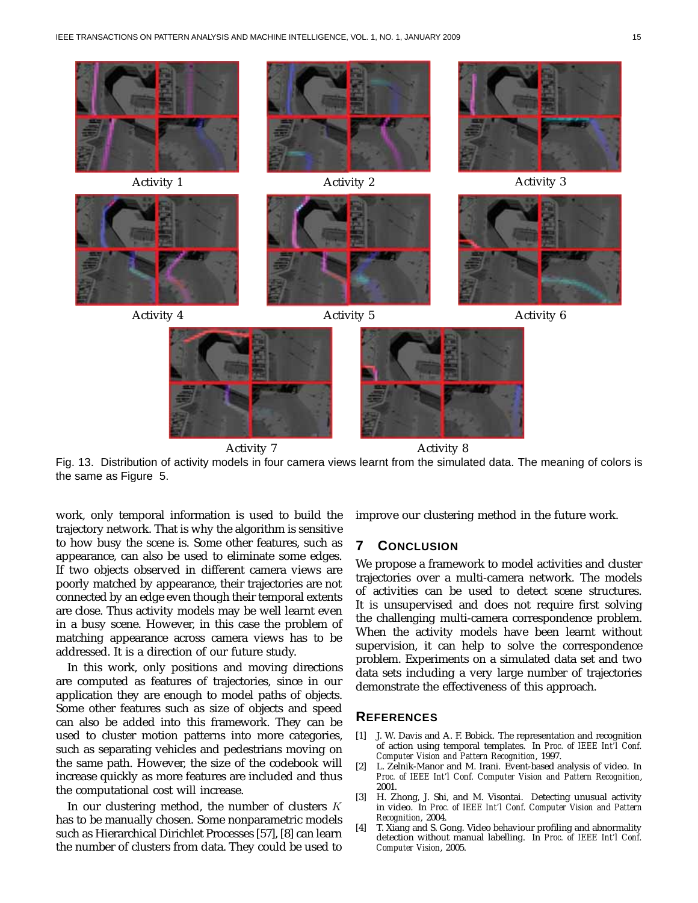

Fig. 13. Distribution of activity models in four camera views learnt from the simulated data. The meaning of colors is the same as Figure 5.

work, only temporal information is used to build the trajectory network. That is why the algorithm is sensitive to how busy the scene is. Some other features, such as appearance, can also be used to eliminate some edges. If two objects observed in different camera views are poorly matched by appearance, their trajectories are not connected by an edge even though their temporal extents are close. Thus activity models may be well learnt even in a busy scene. However, in this case the problem of matching appearance across camera views has to be addressed. It is a direction of our future study.

In this work, only positions and moving directions are computed as features of trajectories, since in our application they are enough to model paths of objects. Some other features such as size of objects and speed can also be added into this framework. They can be used to cluster motion patterns into more categories, such as separating vehicles and pedestrians moving on the same path. However, the size of the codebook will increase quickly as more features are included and thus the computational cost will increase.

In our clustering method, the number of clusters  $K$ has to be manually chosen. Some nonparametric models such as Hierarchical Dirichlet Processes [57], [8] can learn the number of clusters from data. They could be used to

improve our clustering method in the future work.

# **7 CONCLUSION**

We propose a framework to model activities and cluster trajectories over a multi-camera network. The models of activities can be used to detect scene structures. It is unsupervised and does not require first solving the challenging multi-camera correspondence problem. When the activity models have been learnt without supervision, it can help to solve the correspondence problem. Experiments on a simulated data set and two data sets including a very large number of trajectories demonstrate the effectiveness of this approach.

# **REFERENCES**

- [1] J. W. Davis and A. F. Bobick. The representation and recognition of action using temporal templates. In *Proc. of IEEE Int'l Conf. Computer Vision and Pattern Recognition*, 1997.
- [2] L. Zelnik-Manor and M. Irani. Event-based analysis of video. In *Proc. of IEEE Int'l Conf. Computer Vision and Pattern Recognition*, 2001.
- [3] H. Zhong, J. Shi, and M. Visontai. Detecting unusual activity in video. In *Proc. of IEEE Int'l Conf. Computer Vision and Pattern Recognition*, 2004.
- [4] T. Xiang and S. Gong. Video behaviour profiling and abnormality detection without manual labelling. In *Proc. of IEEE Int'l Conf. Computer Vision*, 2005.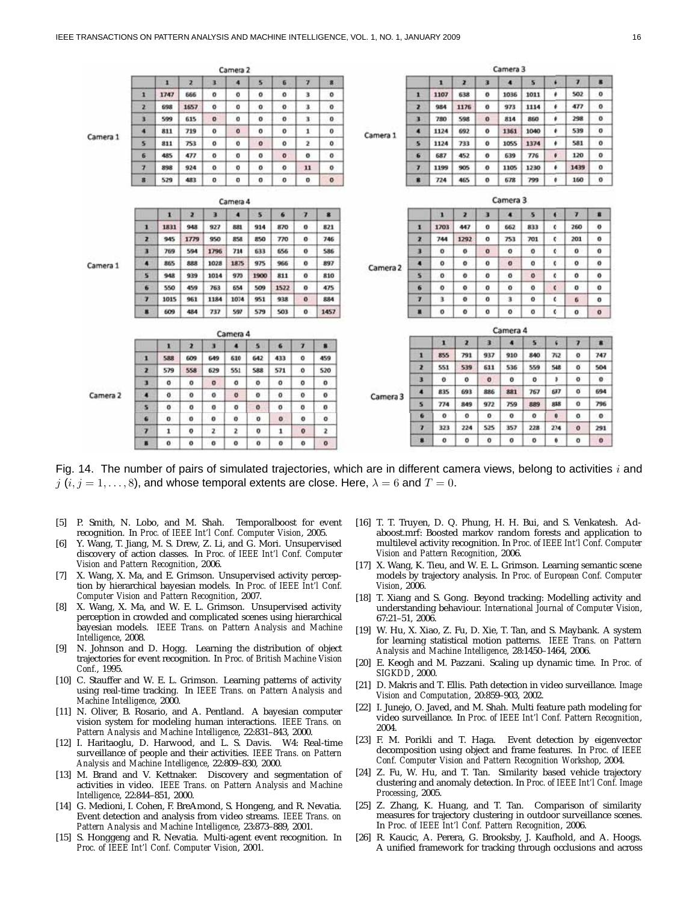|          | Camera 2       |              |                         |            |             |         |              |                |              |          | Camera 3                 |              |              |          |                |             |              |                         |              |
|----------|----------------|--------------|-------------------------|------------|-------------|---------|--------------|----------------|--------------|----------|--------------------------|--------------|--------------|----------|----------------|-------------|--------------|-------------------------|--------------|
|          |                | 1            | $\overline{\mathbf{z}}$ | 3          | 4           | 5       | 6            | $\overline{ }$ | 8            |          |                          | ı            | $\mathbf{z}$ | 3        | $\blacksquare$ | 5           | $\epsilon$   | $\overline{ }$          | 8            |
| Camera 1 | 1              | 1747         | 566                     | o          | ۰           | o       | ۰            | з              | ٥            | Camera 1 | $\mathbf{1}$             | 1107         | 638          | o        | 1036           | 1011        | ٠            | 502                     | ۰            |
|          | $\overline{2}$ | 698          | 1657                    | o          | ۰           | ۰       | $\bf o$      | 3              | ۰            |          | $\mathbf{z}$             | 984          | 1176         | o        | 973            | 1114        |              | 477                     | o            |
|          | з              | 599          | 615                     | $^{\circ}$ | ۰           | o       | $\mathbf o$  | 3              | ۰            |          | $\overline{\mathbf{3}}$  | 780          | 598          | $\bf{0}$ | 814            | 860         | ۰            | 298                     | o            |
|          | A.             | 811          | 719                     | ۰          | $\circ$     | o       | $\mathbf o$  | 1              | 0            |          | $\overline{\phantom{a}}$ | 1124         | 692          | 0        | 1361           | 1040        | ۰            | 539                     | o            |
|          | s              | 811          | 753                     | o          | ۰           | $\circ$ | ۰            | 2              | ٥            |          | 5                        | 1124         | 733          | 0        | 1055           | 1374        | ۰            | 581                     | o            |
|          | 6              | 485          | 477                     | o          | o           | ۰       | $\mathbf{o}$ | o              | o            |          | 6                        | 687          | 452          | o        | 639            | 776         | $\theta$     | 120                     | ۰            |
|          | $\overline{ }$ | 898          | 924                     | ٥          | ۰           | ۰       | o            | 11             | ۰            |          | $\overline{I}$           | 1199         | 905          | $\bf o$  | 1105           | 1230        | $\bullet$    | 1439                    | o            |
|          | 8              | 529          | 483                     | 0          | ۰           | o       | 0            | 0              | $\bullet$    |          | B                        | 724          | 465          | $\bf{0}$ | 678            | 799         | $\bullet$    | 160                     | $\mathbf{0}$ |
|          |                |              |                         |            | Camera 4    |         |              |                |              |          |                          |              |              |          | Camera 3       |             |              |                         |              |
|          |                | x            | $\mathbf{z}$            | 3          | ٠           | 5.      | 6            | $\overline{1}$ | $\mathbf{B}$ |          |                          | а            | $\mathbf{z}$ | 3        | $\bullet$      | 5.          | $\epsilon$   | $\mathbf{7}$            | B.           |
| Camera 1 | a.             | 1831         | 948                     | 927        | 881         | 914     | 870          | o              | 821          | Camera 2 | 1                        | 1703         | 447          | ۰        | 662            | 833         | c            | 260                     | $\bf{0}$     |
|          | $\overline{z}$ | 945          | 1779                    | 950        | 858         | 850     | 770          | $\bf{0}$       | 746          |          | $\mathbf{z}$             | 744          | 1292         | o        | 753            | 701         | c            | 201                     | o            |
|          | 3              | 769          | 594                     | 1795       | 714         | 633     | 656          | $\bf o$        | 586          |          | 3                        | ۰            | o            | $\Omega$ | ۰              | ۰           | c            | ۰                       | $\bf o$      |
|          | п              | 865          | 888                     | 1028       | 1875        | 975     | 966          | $\mathbf o$    | 897          |          | п                        | $\circ$      | $\sigma$     | o        | $\sigma$       | $\circ$     | ¢            | ۰                       | ۰            |
|          | s              | 948          | 939                     | 1014       | 970         | 1900    | 811          | $\bf{o}$       | 810          |          | 5                        | $\circ$      | $\mathbf o$  | o        | ٥              | o           | ¢            | o                       | $\mathbf o$  |
|          | ъ              | 550          | 459                     | 763        | 654         | 509     | 1522         | o              | 475          |          | 6                        | $\circ$      | o            | o        | ۰              | o           | ¢.           | o                       | o            |
|          | $\mathbf{r}$   | 1015         | 961                     | 1184       | 1074        | 951     | 938          | $\bf{0}$       | 884          |          | $\overline{ }$           | 3            | $\mathbf o$  | ۰        | з              | $\mathbf o$ | c            | 6                       | o            |
|          | в              | 609          | 484                     | 737        | 597         | 579     | 503          | $\bf{0}$       | 1457         |          | я                        | o            | $\bf o$      | o        | ۰              | $^{\circ}$  | c            | ۰                       | $\bf o$      |
|          |                |              |                         |            | Camera 4    |         |              |                |              |          |                          |              |              |          | Camera 4       |             |              |                         |              |
|          |                | $\mathbf{r}$ | 2                       | а          | 4           | 5       | 6            | $\mathbf{r}$   | 8            | Camera 3 |                          | $\mathbf{I}$ | $\mathbf{z}$ | 3        | $\bullet$      | 5           | $\mathbf{G}$ | $\overline{\mathbf{z}}$ | $\mathbf{B}$ |
| Camera 2 | п              | 588          | 609                     | 649        | 610         | 642     | 433          | 0              | 459          |          | 1                        | 855          | 791          | 937      | 910            | 840         | 762          | ۰                       | 747          |
|          | $\overline{z}$ | 579          | 558                     | 629        | 551         | 588     | 571          | o              | 520          |          | 2                        | 551          | 539          | 611      | 536            | 559         | 548          | o                       | 504          |
|          | э              | ۰            | $\bf o$                 | $\bf{0}$   | o           | o       | ۰            | ۰              | $\bf{0}$     |          | з                        | 0            | o            | o        | ۰              | ۰           | ۰            | ۰                       | o            |
|          | ٠              | o.           | ۰                       | o          | ö           | o       | o.           | ۰              | $\bf{0}$     |          | 4                        | 835          | 693          | 886      | 881            | 767         | 697          | o                       | 694          |
|          | 5              | ۰            | o                       | o          | o           | $\bf o$ | ۰            | ۰              | o            |          | s                        | 774          | 849          | 972      | 759            | 889         | 848          | $\alpha$                | 796          |
|          | 6              | o            | o                       | o          | $\bf o$     | o       | $\bf o$      | o              | $^{\circ}$   |          | 6                        | 0            | ۰            | ٥        | o              | 0           | $\bullet$    | 0                       | o            |
|          | 7              | 1            | $\bf o$                 | 2          | 2           | 0       | 1            | $\bf{0}$       | $\mathbf{z}$ |          | 7                        | 323          | 224          | 525      | 357            | 228         | 274          | $\bf{o}$                | 291          |
|          | п              | o            | o                       | $\sigma$   | $\mathbf o$ | ۰       | o            | $\bf{0}$       | $\bf o$      |          | R                        | o            | o            | ٥        | $\bf o$        | o           | Ó.           | $\sigma$                | $\bf o$      |

Fig. 14. The number of pairs of simulated trajectories, which are in different camera views, belong to activities  $i$  and  $j$  (i,  $j = 1, ..., 8$ ), and whose temporal extents are close. Here,  $\lambda = 6$  and  $T = 0$ .

- [5] P. Smith, N. Lobo, and M. Shah. Temporalboost for event recognition. In *Proc. of IEEE Int'l Conf. Computer Vision*, 2005.
- Y. Wang, T. Jiang, M. S. Drew, Z. Li, and G. Mori. Unsupervised discovery of action classes. In *Proc. of IEEE Int'l Conf. Computer Vision and Pattern Recognition*, 2006.
- [7] X. Wang, X. Ma, and E. Grimson. Unsupervised activity perception by hierarchical bayesian models. In *Proc. of IEEE Int'l Conf. Computer Vision and Pattern Recognition*, 2007.
- [8] X. Wang, X. Ma, and W. E. L. Grimson. Unsupervised activity perception in crowded and complicated scenes using hierarchical bayesian models. *IEEE Trans. on Pattern Analysis and Machine Intelligence*, 2008.
- [9] N. Johnson and D. Hogg. Learning the distribution of object trajectories for event recognition. In *Proc. of British Machine Vision Conf.*, 1995.
- [10] C. Stauffer and W. E. L. Grimson. Learning patterns of activity using real-time tracking. In *IEEE Trans. on Pattern Analysis and Machine Intelligence*, 2000.
- [11] N. Oliver, B. Rosario, and A. Pentland. A bayesian computer vision system for modeling human interactions. *IEEE Trans. on Pattern Analysis and Machine Intelligence*, 22:831–843, 2000.
- [12] I. Haritaoglu, D. Harwood, and L. S. Davis. W4: Real-time surveillance of people and their activities. *IEEE Trans. on Pattern Analysis and Machine Intelligence*, 22:809–830, 2000.
- [13] M. Brand and V. Kettnaker. Discovery and segmentation of activities in video. *IEEE Trans. on Pattern Analysis and Machine Intelligence*, 22:844–851, 2000.
- [14] G. Medioni, I. Cohen, F. BreAmond, S. Hongeng, and R. Nevatia. Event detection and analysis from video streams. *IEEE Trans. on Pattern Analysis and Machine Intelligence*, 23:873–889, 2001.
- [15] S. Honggeng and R. Nevatia. Multi-agent event recognition. In *Proc. of IEEE Int'l Conf. Computer Vision*, 2001.
- [16] T. T. Truyen, D. Q. Phung, H. H. Bui, and S. Venkatesh. Adaboost.mrf: Boosted markov random forests and application to multilevel activity recognition. In *Proc. of IEEE Int'l Conf. Computer Vision and Pattern Recognition*, 2006.
- [17] X. Wang, K. Tieu, and W. E. L. Grimson. Learning semantic scene models by trajectory analysis. In *Proc. of European Conf. Computer Vision*, 2006.
- [18] T. Xiang and S. Gong. Beyond tracking: Modelling activity and understanding behaviour. *International Journal of Computer Vision*, 67:21–51, 2006.
- [19] W. Hu, X. Xiao, Z. Fu, D. Xie, T. Tan, and S. Maybank. A system for learning statistical motion patterns. *IEEE Trans. on Pattern Analysis and Machine Intelligence*, 28:1450–1464, 2006.
- [20] E. Keogh and M. Pazzani. Scaling up dynamic time. In *Proc. of SIGKDD*, 2000.
- [21] D. Makris and T. Ellis. Path detection in video surveillance. *Image Vision and Computation*, 20:859–903, 2002.
- [22] I. Junejo, O. Javed, and M. Shah. Multi feature path modeling for video surveillance. In *Proc. of IEEE Int'l Conf. Pattern Recognition*, 2004.
- [23] F. M. Porikli and T. Haga. Event detection by eigenvector decomposition using object and frame features. In *Proc. of IEEE Conf. Computer Vision and Pattern Recognition Workshop*, 2004.
- [24] Z. Fu, W. Hu, and T. Tan. Similarity based vehicle trajectory clustering and anomaly detection. In *Proc. of IEEE Int'l Conf. Image Processing*, 2005.
- [25] Z. Zhang, K. Huang, and T. Tan. Comparison of similarity measures for trajectory clustering in outdoor surveillance scenes. In *Proc. of IEEE Int'l Conf. Pattern Recognition*, 2006.
- [26] R. Kaucic, A. Perera, G. Brooksby, J. Kaufhold, and A. Hoogs. A unified framework for tracking through occlusions and across